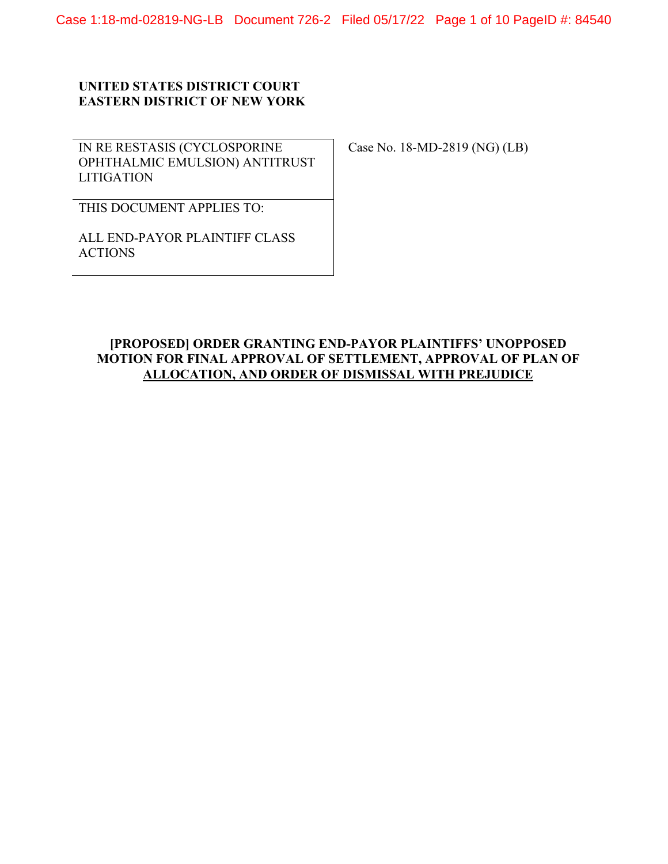Case 1:18-md-02819-NG-LB Document 726-2 Filed 05/17/22 Page 1 of 10 PageID #: 84540

## **UNITED STATES DISTRICT COURT EASTERN DISTRICT OF NEW YORK**

IN RE RESTASIS (CYCLOSPORINE OPHTHALMIC EMULSION) ANTITRUST **LITIGATION** 

Case No. 18-MD-2819 (NG) (LB)

THIS DOCUMENT APPLIES TO:

ALL END-PAYOR PLAINTIFF CLASS ACTIONS

# **[PROPOSED] ORDER GRANTING END-PAYOR PLAINTIFFS' UNOPPOSED MOTION FOR FINAL APPROVAL OF SETTLEMENT, APPROVAL OF PLAN OF ALLOCATION, AND ORDER OF DISMISSAL WITH PREJUDICE**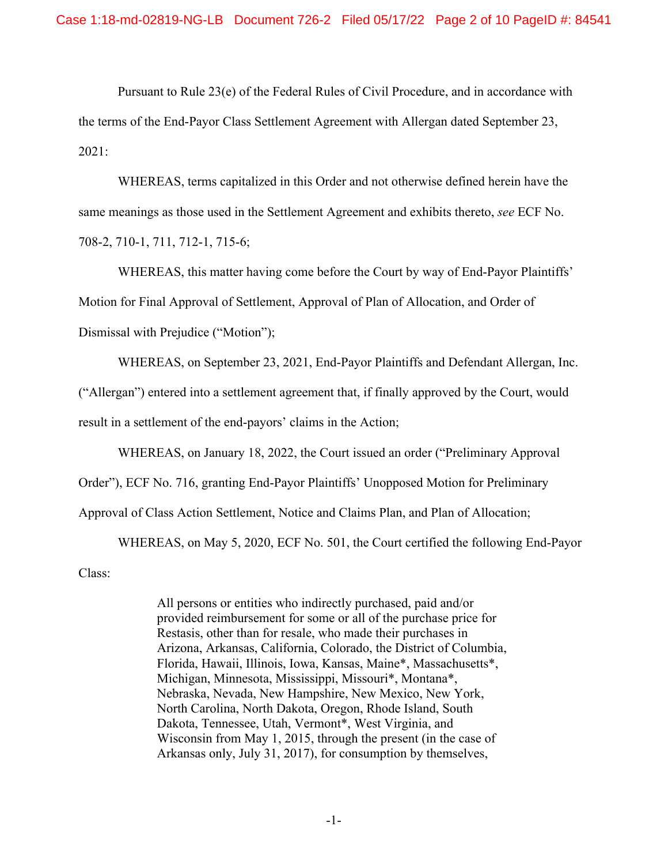Pursuant to Rule 23(e) of the Federal Rules of Civil Procedure, and in accordance with the terms of the End-Payor Class Settlement Agreement with Allergan dated September 23, 2021:

WHEREAS, terms capitalized in this Order and not otherwise defined herein have the same meanings as those used in the Settlement Agreement and exhibits thereto, *see* ECF No. 708-2, 710-1, 711, 712-1, 715-6;

WHEREAS, this matter having come before the Court by way of End-Payor Plaintiffs' Motion for Final Approval of Settlement, Approval of Plan of Allocation, and Order of Dismissal with Prejudice ("Motion");

WHEREAS, on September 23, 2021, End-Payor Plaintiffs and Defendant Allergan, Inc.

("Allergan") entered into a settlement agreement that, if finally approved by the Court, would

result in a settlement of the end-payors' claims in the Action;

WHEREAS, on January 18, 2022, the Court issued an order ("Preliminary Approval

Order"), ECF No. 716, granting End-Payor Plaintiffs' Unopposed Motion for Preliminary

Approval of Class Action Settlement, Notice and Claims Plan, and Plan of Allocation;

WHEREAS, on May 5, 2020, ECF No. 501, the Court certified the following End-Payor

Class:

All persons or entities who indirectly purchased, paid and/or provided reimbursement for some or all of the purchase price for Restasis, other than for resale, who made their purchases in Arizona, Arkansas, California, Colorado, the District of Columbia, Florida, Hawaii, Illinois, Iowa, Kansas, Maine\*, Massachusetts\*, Michigan, Minnesota, Mississippi, Missouri\*, Montana\*, Nebraska, Nevada, New Hampshire, New Mexico, New York, North Carolina, North Dakota, Oregon, Rhode Island, South Dakota, Tennessee, Utah, Vermont\*, West Virginia, and Wisconsin from May 1, 2015, through the present (in the case of Arkansas only, July 31, 2017), for consumption by themselves,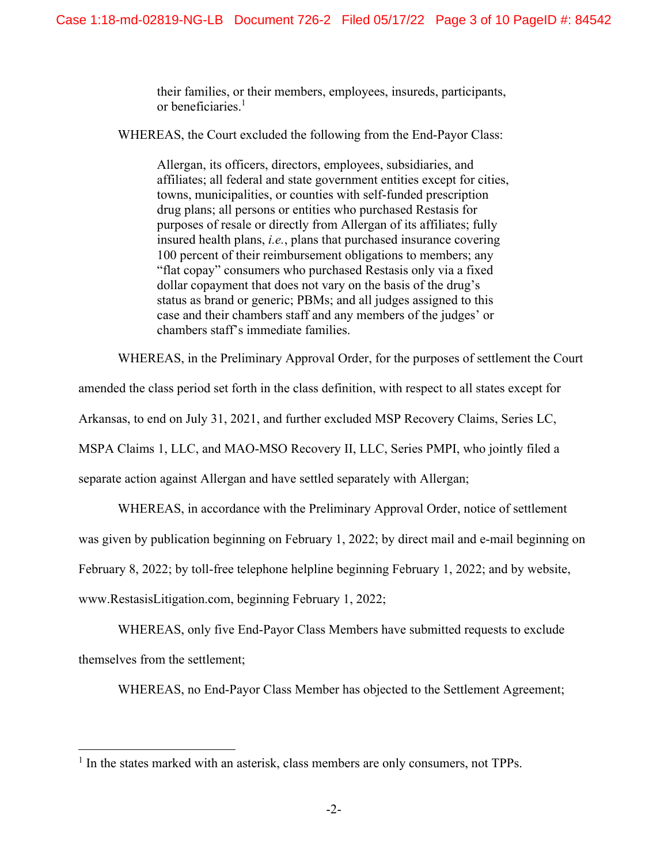their families, or their members, employees, insureds, participants, or beneficiaries.<sup>1</sup>

WHEREAS, the Court excluded the following from the End-Payor Class:

Allergan, its officers, directors, employees, subsidiaries, and affiliates; all federal and state government entities except for cities, towns, municipalities, or counties with self-funded prescription drug plans; all persons or entities who purchased Restasis for purposes of resale or directly from Allergan of its affiliates; fully insured health plans, *i.e.*, plans that purchased insurance covering 100 percent of their reimbursement obligations to members; any "flat copay" consumers who purchased Restasis only via a fixed dollar copayment that does not vary on the basis of the drug's status as brand or generic; PBMs; and all judges assigned to this case and their chambers staff and any members of the judges' or chambers staff's immediate families.

WHEREAS, in the Preliminary Approval Order, for the purposes of settlement the Court

amended the class period set forth in the class definition, with respect to all states except for

Arkansas, to end on July 31, 2021, and further excluded MSP Recovery Claims, Series LC,

MSPA Claims 1, LLC, and MAO-MSO Recovery II, LLC, Series PMPI, who jointly filed a

separate action against Allergan and have settled separately with Allergan;

WHEREAS, in accordance with the Preliminary Approval Order, notice of settlement

was given by publication beginning on February 1, 2022; by direct mail and e-mail beginning on

February 8, 2022; by toll-free telephone helpline beginning February 1, 2022; and by website,

www.RestasisLitigation.com, beginning February 1, 2022;

WHEREAS, only five End-Payor Class Members have submitted requests to exclude themselves from the settlement;

WHEREAS, no End-Payor Class Member has objected to the Settlement Agreement;

<sup>&</sup>lt;sup>1</sup> In the states marked with an asterisk, class members are only consumers, not TPPs.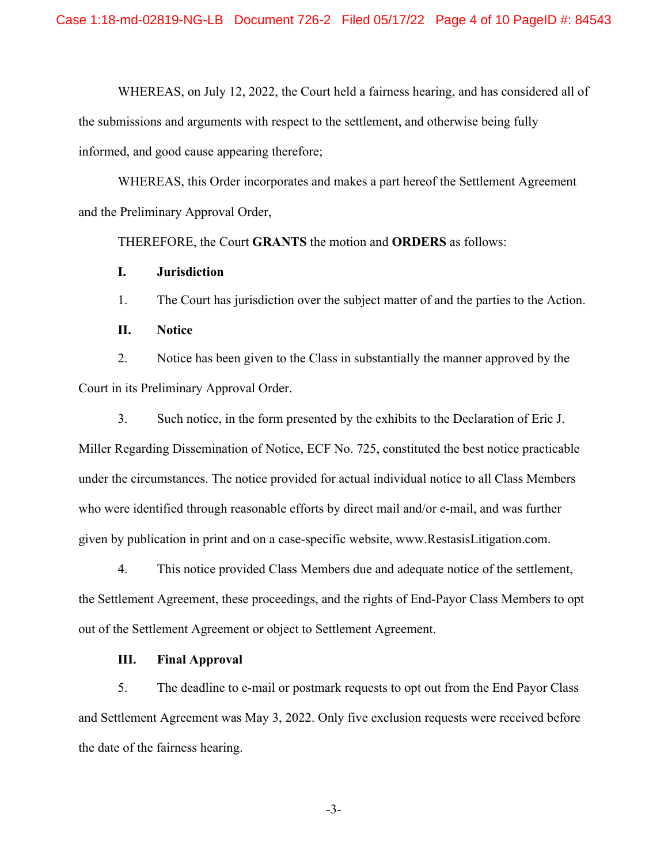WHEREAS, on July 12, 2022, the Court held a fairness hearing, and has considered all of the submissions and arguments with respect to the settlement, and otherwise being fully informed, and good cause appearing therefore;

WHEREAS, this Order incorporates and makes a part hereof the Settlement Agreement and the Preliminary Approval Order,

THEREFORE, the Court **GRANTS** the motion and **ORDERS** as follows:

## **I. Jurisdiction**

1. The Court has jurisdiction over the subject matter of and the parties to the Action.

**II. Notice** 

2. Notice has been given to the Class in substantially the manner approved by the Court in its Preliminary Approval Order.

3. Such notice, in the form presented by the exhibits to the Declaration of Eric J. Miller Regarding Dissemination of Notice, ECF No. 725, constituted the best notice practicable under the circumstances. The notice provided for actual individual notice to all Class Members who were identified through reasonable efforts by direct mail and/or e-mail, and was further given by publication in print and on a case-specific website, www.RestasisLitigation.com.

4. This notice provided Class Members due and adequate notice of the settlement, the Settlement Agreement, these proceedings, and the rights of End-Payor Class Members to opt out of the Settlement Agreement or object to Settlement Agreement.

#### **III. Final Approval**

5. The deadline to e-mail or postmark requests to opt out from the End Payor Class and Settlement Agreement was May 3, 2022. Only five exclusion requests were received before the date of the fairness hearing.

-3-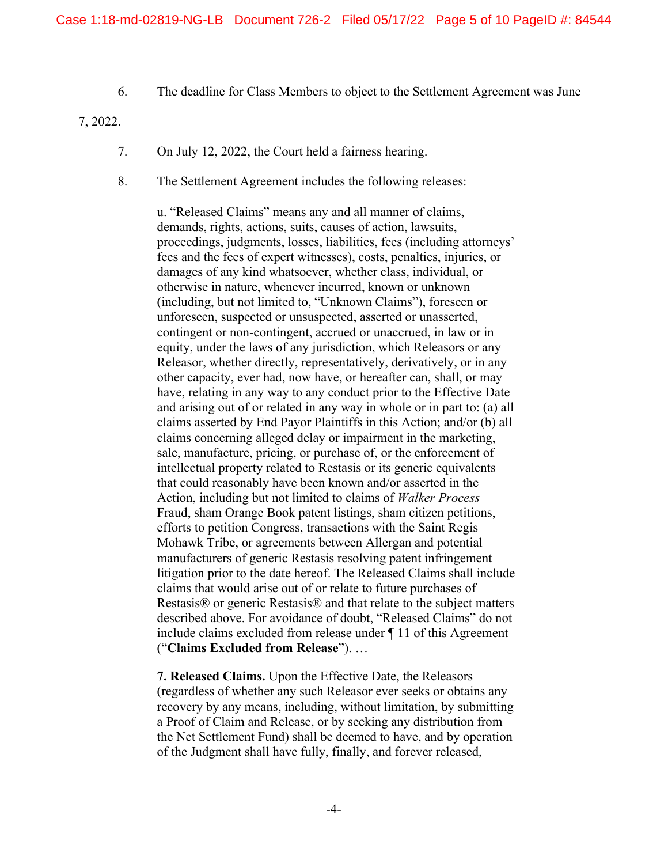6. The deadline for Class Members to object to the Settlement Agreement was June

7, 2022.

- 7. On July 12, 2022, the Court held a fairness hearing.
- 8. The Settlement Agreement includes the following releases:

u. "Released Claims" means any and all manner of claims, demands, rights, actions, suits, causes of action, lawsuits, proceedings, judgments, losses, liabilities, fees (including attorneys' fees and the fees of expert witnesses), costs, penalties, injuries, or damages of any kind whatsoever, whether class, individual, or otherwise in nature, whenever incurred, known or unknown (including, but not limited to, "Unknown Claims"), foreseen or unforeseen, suspected or unsuspected, asserted or unasserted, contingent or non-contingent, accrued or unaccrued, in law or in equity, under the laws of any jurisdiction, which Releasors or any Releasor, whether directly, representatively, derivatively, or in any other capacity, ever had, now have, or hereafter can, shall, or may have, relating in any way to any conduct prior to the Effective Date and arising out of or related in any way in whole or in part to: (a) all claims asserted by End Payor Plaintiffs in this Action; and/or (b) all claims concerning alleged delay or impairment in the marketing, sale, manufacture, pricing, or purchase of, or the enforcement of intellectual property related to Restasis or its generic equivalents that could reasonably have been known and/or asserted in the Action, including but not limited to claims of *Walker Process*  Fraud, sham Orange Book patent listings, sham citizen petitions, efforts to petition Congress, transactions with the Saint Regis Mohawk Tribe, or agreements between Allergan and potential manufacturers of generic Restasis resolving patent infringement litigation prior to the date hereof. The Released Claims shall include claims that would arise out of or relate to future purchases of Restasis® or generic Restasis® and that relate to the subject matters described above. For avoidance of doubt, "Released Claims" do not include claims excluded from release under ¶ 11 of this Agreement ("**Claims Excluded from Release**"). …

**7. Released Claims.** Upon the Effective Date, the Releasors (regardless of whether any such Releasor ever seeks or obtains any recovery by any means, including, without limitation, by submitting a Proof of Claim and Release, or by seeking any distribution from the Net Settlement Fund) shall be deemed to have, and by operation of the Judgment shall have fully, finally, and forever released,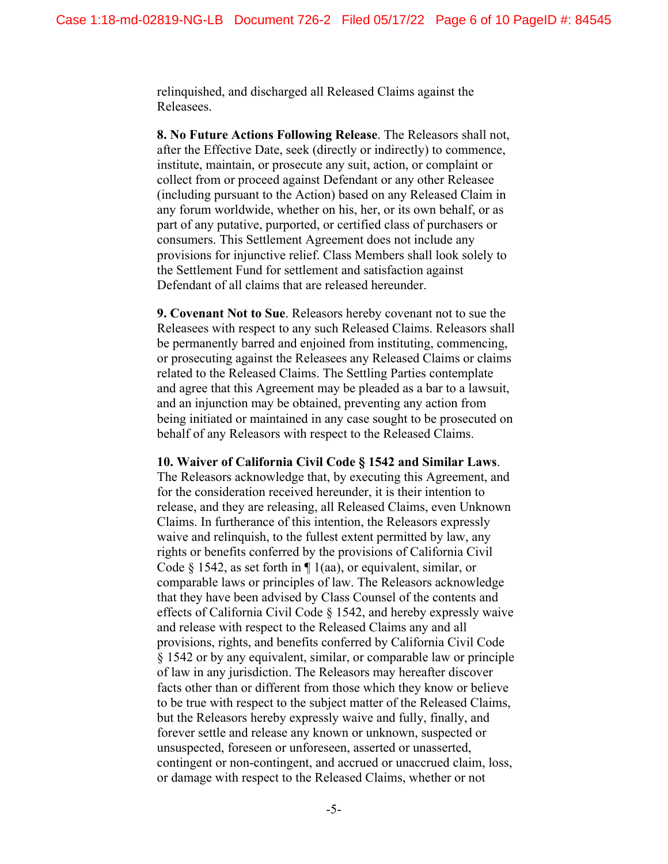relinquished, and discharged all Released Claims against the Releasees.

**8. No Future Actions Following Release**. The Releasors shall not, after the Effective Date, seek (directly or indirectly) to commence, institute, maintain, or prosecute any suit, action, or complaint or collect from or proceed against Defendant or any other Releasee (including pursuant to the Action) based on any Released Claim in any forum worldwide, whether on his, her, or its own behalf, or as part of any putative, purported, or certified class of purchasers or consumers. This Settlement Agreement does not include any provisions for injunctive relief. Class Members shall look solely to the Settlement Fund for settlement and satisfaction against Defendant of all claims that are released hereunder.

**9. Covenant Not to Sue**. Releasors hereby covenant not to sue the Releasees with respect to any such Released Claims. Releasors shall be permanently barred and enjoined from instituting, commencing, or prosecuting against the Releasees any Released Claims or claims related to the Released Claims. The Settling Parties contemplate and agree that this Agreement may be pleaded as a bar to a lawsuit, and an injunction may be obtained, preventing any action from being initiated or maintained in any case sought to be prosecuted on behalf of any Releasors with respect to the Released Claims.

#### **10. Waiver of California Civil Code § 1542 and Similar Laws**.

The Releasors acknowledge that, by executing this Agreement, and for the consideration received hereunder, it is their intention to release, and they are releasing, all Released Claims, even Unknown Claims. In furtherance of this intention, the Releasors expressly waive and relinquish, to the fullest extent permitted by law, any rights or benefits conferred by the provisions of California Civil Code § 1542, as set forth in  $\P$  1(aa), or equivalent, similar, or comparable laws or principles of law. The Releasors acknowledge that they have been advised by Class Counsel of the contents and effects of California Civil Code § 1542, and hereby expressly waive and release with respect to the Released Claims any and all provisions, rights, and benefits conferred by California Civil Code § 1542 or by any equivalent, similar, or comparable law or principle of law in any jurisdiction. The Releasors may hereafter discover facts other than or different from those which they know or believe to be true with respect to the subject matter of the Released Claims, but the Releasors hereby expressly waive and fully, finally, and forever settle and release any known or unknown, suspected or unsuspected, foreseen or unforeseen, asserted or unasserted, contingent or non-contingent, and accrued or unaccrued claim, loss, or damage with respect to the Released Claims, whether or not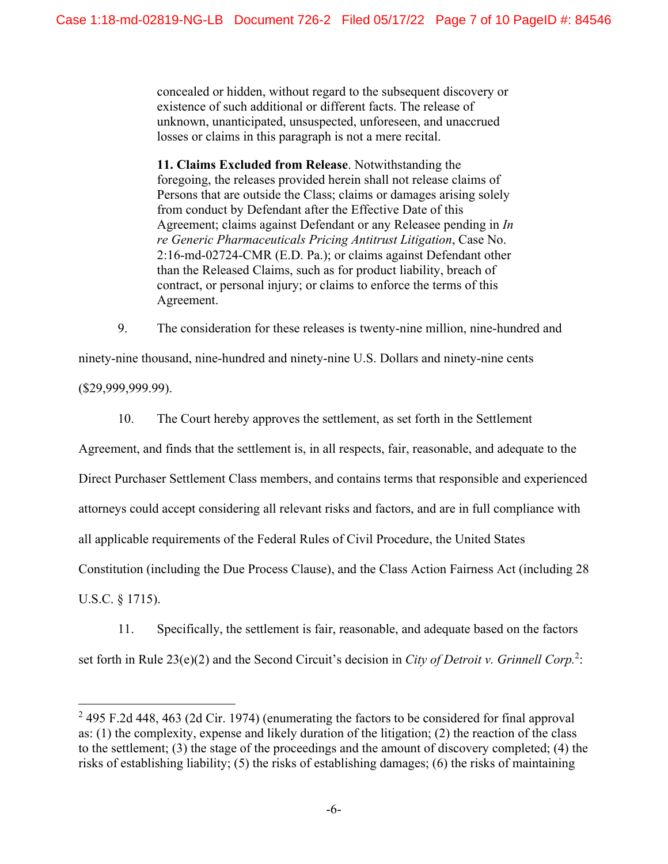concealed or hidden, without regard to the subsequent discovery or existence of such additional or different facts. The release of unknown, unanticipated, unsuspected, unforeseen, and unaccrued losses or claims in this paragraph is not a mere recital.

**11. Claims Excluded from Release**. Notwithstanding the foregoing, the releases provided herein shall not release claims of Persons that are outside the Class; claims or damages arising solely from conduct by Defendant after the Effective Date of this Agreement; claims against Defendant or any Releasee pending in *In re Generic Pharmaceuticals Pricing Antitrust Litigation*, Case No. 2:16-md-02724-CMR (E.D. Pa.); or claims against Defendant other than the Released Claims, such as for product liability, breach of contract, or personal injury; or claims to enforce the terms of this Agreement.

9. The consideration for these releases is twenty-nine million, nine-hundred and

ninety-nine thousand, nine-hundred and ninety-nine U.S. Dollars and ninety-nine cents

(\$29,999,999.99).

10. The Court hereby approves the settlement, as set forth in the Settlement

Agreement, and finds that the settlement is, in all respects, fair, reasonable, and adequate to the Direct Purchaser Settlement Class members, and contains terms that responsible and experienced attorneys could accept considering all relevant risks and factors, and are in full compliance with all applicable requirements of the Federal Rules of Civil Procedure, the United States Constitution (including the Due Process Clause), and the Class Action Fairness Act (including 28 U.S.C. § 1715).

11. Specifically, the settlement is fair, reasonable, and adequate based on the factors set forth in Rule 23(e)(2) and the Second Circuit's decision in *City of Detroit v. Grinnell Corp.*<sup>2</sup>:

 $2$  495 F.2d 448, 463 (2d Cir. 1974) (enumerating the factors to be considered for final approval as: (1) the complexity, expense and likely duration of the litigation; (2) the reaction of the class to the settlement; (3) the stage of the proceedings and the amount of discovery completed; (4) the risks of establishing liability; (5) the risks of establishing damages; (6) the risks of maintaining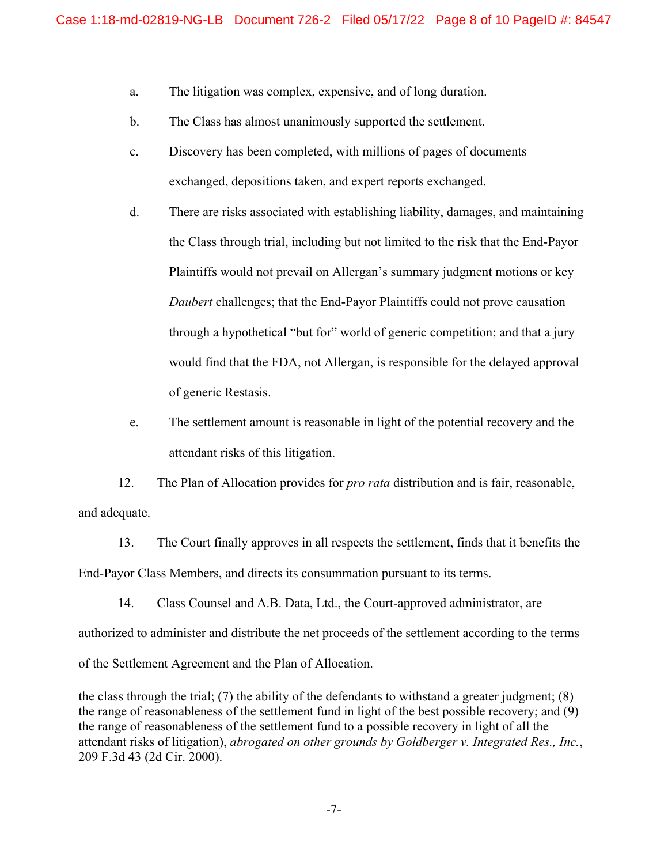- a. The litigation was complex, expensive, and of long duration.
- b. The Class has almost unanimously supported the settlement.
- c. Discovery has been completed, with millions of pages of documents exchanged, depositions taken, and expert reports exchanged.
- d. There are risks associated with establishing liability, damages, and maintaining the Class through trial, including but not limited to the risk that the End-Payor Plaintiffs would not prevail on Allergan's summary judgment motions or key *Daubert* challenges; that the End-Payor Plaintiffs could not prove causation through a hypothetical "but for" world of generic competition; and that a jury would find that the FDA, not Allergan, is responsible for the delayed approval of generic Restasis.
- e. The settlement amount is reasonable in light of the potential recovery and the attendant risks of this litigation.

12. The Plan of Allocation provides for *pro rata* distribution and is fair, reasonable, and adequate.

13. The Court finally approves in all respects the settlement, finds that it benefits the End-Payor Class Members, and directs its consummation pursuant to its terms.

14. Class Counsel and A.B. Data, Ltd., the Court-approved administrator, are

authorized to administer and distribute the net proceeds of the settlement according to the terms

of the Settlement Agreement and the Plan of Allocation.

the class through the trial; (7) the ability of the defendants to withstand a greater judgment; (8) the range of reasonableness of the settlement fund in light of the best possible recovery; and (9) the range of reasonableness of the settlement fund to a possible recovery in light of all the attendant risks of litigation), *abrogated on other grounds by Goldberger v. Integrated Res., Inc.*, 209 F.3d 43 (2d Cir. 2000).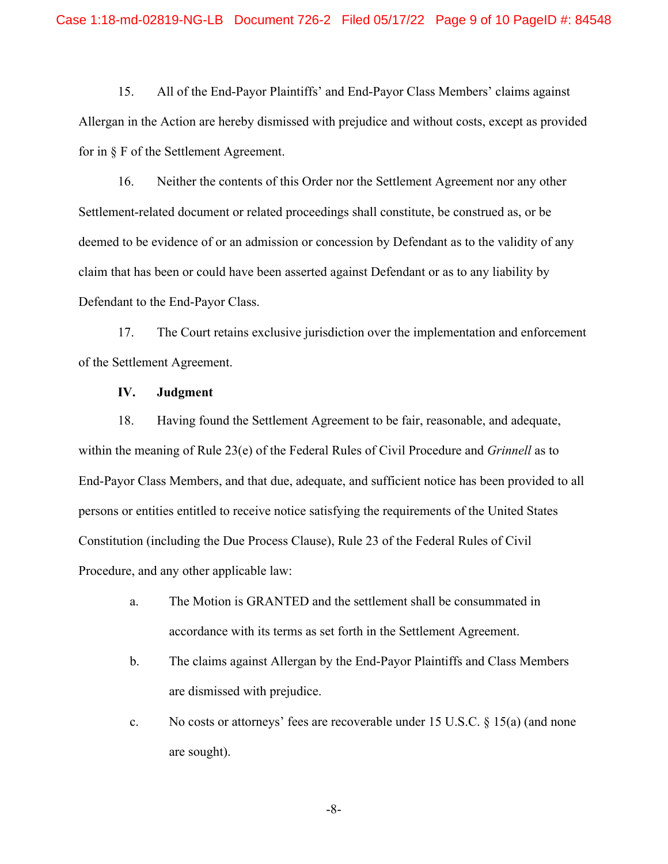15. All of the End-Payor Plaintiffs' and End-Payor Class Members' claims against Allergan in the Action are hereby dismissed with prejudice and without costs, except as provided for in § F of the Settlement Agreement.

16. Neither the contents of this Order nor the Settlement Agreement nor any other Settlement-related document or related proceedings shall constitute, be construed as, or be deemed to be evidence of or an admission or concession by Defendant as to the validity of any claim that has been or could have been asserted against Defendant or as to any liability by Defendant to the End-Payor Class.

17. The Court retains exclusive jurisdiction over the implementation and enforcement of the Settlement Agreement.

### **IV. Judgment**

18. Having found the Settlement Agreement to be fair, reasonable, and adequate, within the meaning of Rule 23(e) of the Federal Rules of Civil Procedure and *Grinnell* as to End-Payor Class Members, and that due, adequate, and sufficient notice has been provided to all persons or entities entitled to receive notice satisfying the requirements of the United States Constitution (including the Due Process Clause), Rule 23 of the Federal Rules of Civil Procedure, and any other applicable law:

- a. The Motion is GRANTED and the settlement shall be consummated in accordance with its terms as set forth in the Settlement Agreement.
- b. The claims against Allergan by the End-Payor Plaintiffs and Class Members are dismissed with prejudice.
- c. No costs or attorneys' fees are recoverable under 15 U.S.C. § 15(a) (and none are sought).

-8-